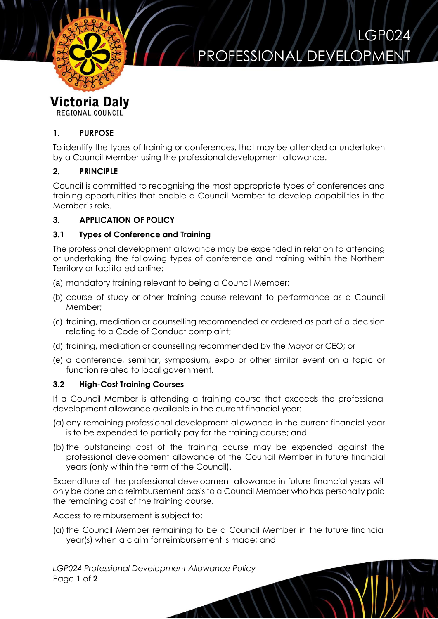

# PROFESSIONAL DEVELOP

LGP024

## **Victoria Daly**

REGIONAL COUNCIL

#### **1. PURPOSE**

To identify the types of training or conferences, that may be attended or undertaken by a Council Member using the professional development allowance.

#### **2. PRINCIPLE**

Council is committed to recognising the most appropriate types of conferences and training opportunities that enable a Council Member to develop capabilities in the Member's role.

### **3. APPLICATION OF POLICY**

#### **3.1 Types of Conference and Training**

The professional development allowance may be expended in relation to attending or undertaking the following types of conference and training within the Northern Territory or facilitated online:

- (a) mandatory training relevant to being a Council Member;
- (b) course of study or other training course relevant to performance as a Council Member;
- (c) training, mediation or counselling recommended or ordered as part of a decision relating to a Code of Conduct complaint;
- (d) training, mediation or counselling recommended by the Mayor or CEO; or
- (e) a conference, seminar, symposium, expo or other similar event on a topic or function related to local government.

#### **3.2 High-Cost Training Courses**

If a Council Member is attending a training course that exceeds the professional development allowance available in the current financial year:

- (a) any remaining professional development allowance in the current financial year is to be expended to partially pay for the training course; and
- (b) the outstanding cost of the training course may be expended against the professional development allowance of the Council Member in future financial years (only within the term of the Council).

Expenditure of the professional development allowance in future financial years will only be done on a reimbursement basis to a Council Member who has personally paid the remaining cost of the training course.

Access to reimbursement is subject to:

(a) the Council Member remaining to be a Council Member in the future financial year(s) when a claim for reimbursement is made; and

*LGP024 Professional Development Allowance Policy* Page **1** of **2**